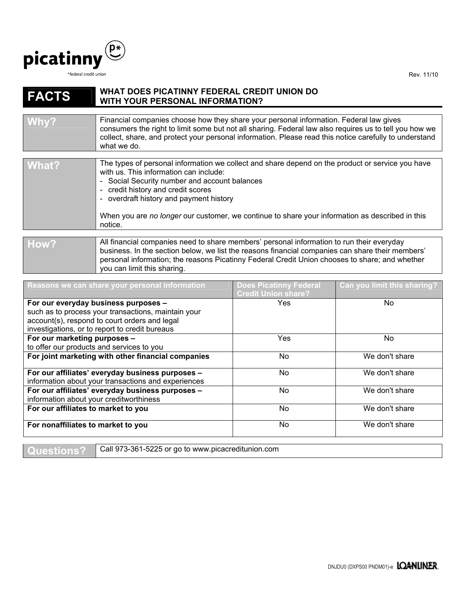

Rev. 11/10

## **FACTS WHAT DOES PICATINNY FEDERAL CREDIT UNION DO WITH YOUR PERSONAL INFORMATION?**

| Why?  | Financial companies choose how they share your personal information. Federal law gives<br>consumers the right to limit some but not all sharing. Federal law also requires us to tell you how we<br>collect, share, and protect your personal information. Please read this notice carefully to understand<br>what we do.                            |
|-------|------------------------------------------------------------------------------------------------------------------------------------------------------------------------------------------------------------------------------------------------------------------------------------------------------------------------------------------------------|
|       |                                                                                                                                                                                                                                                                                                                                                      |
| What? | The types of personal information we collect and share depend on the product or service you have<br>with us. This information can include:<br>- Social Security number and account balances<br>- credit history and credit scores<br>the contract of the contract of the contract of the contract of the contract of the contract of the contract of |

- overdraft history and payment history

When you are *no longer* our customer, we continue to share your information as described in this notice.

## How? All financial companies need to share members' personal information to run their everyday business. In the section below, we list the reasons financial companies can share their members' personal information; the reasons Picatinny Federal Credit Union chooses to share; and whether you can limit this sharing.

| Reasons we can share your personal information      | <b>Does Picatinny Federal</b><br><b>Credit Union share?</b> | Can you limit this sharing? |
|-----------------------------------------------------|-------------------------------------------------------------|-----------------------------|
| For our everyday business purposes -                | Yes                                                         | N <sub>o</sub>              |
| such as to process your transactions, maintain your |                                                             |                             |
| account(s), respond to court orders and legal       |                                                             |                             |
| investigations, or to report to credit bureaus      |                                                             |                             |
| For our marketing purposes -                        | Yes                                                         | No.                         |
| to offer our products and services to you           |                                                             |                             |
| For joint marketing with other financial companies  | No.                                                         | We don't share              |
| For our affiliates' everyday business purposes -    | No.                                                         | We don't share              |
| information about your transactions and experiences |                                                             |                             |
| For our affiliates' everyday business purposes -    | No.                                                         | We don't share              |
| information about your creditworthiness             |                                                             |                             |
| For our affiliates to market to you                 | No.                                                         | We don't share              |
| For nonaffiliates to market to you                  | No.                                                         | We don't share              |

**Questions?** Call 973-361-5225 or go to www.picacreditunion.com